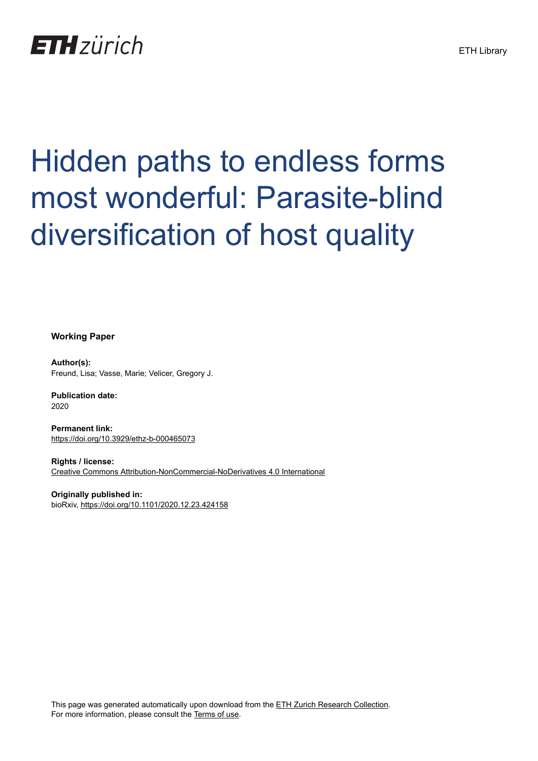## **ETH** zürich

# Hidden paths to endless forms most wonderful: Parasite-blind diversification of host quality

**Working Paper**

**Author(s):** Freund, Lisa; Vasse, Marie; Velicer, Gregory J.

**Publication date:** 2020

**Permanent link:** <https://doi.org/10.3929/ethz-b-000465073>

**Rights / license:** [Creative Commons Attribution-NonCommercial-NoDerivatives 4.0 International](http://creativecommons.org/licenses/by-nc-nd/4.0/)

**Originally published in:** bioRxiv,<https://doi.org/10.1101/2020.12.23.424158>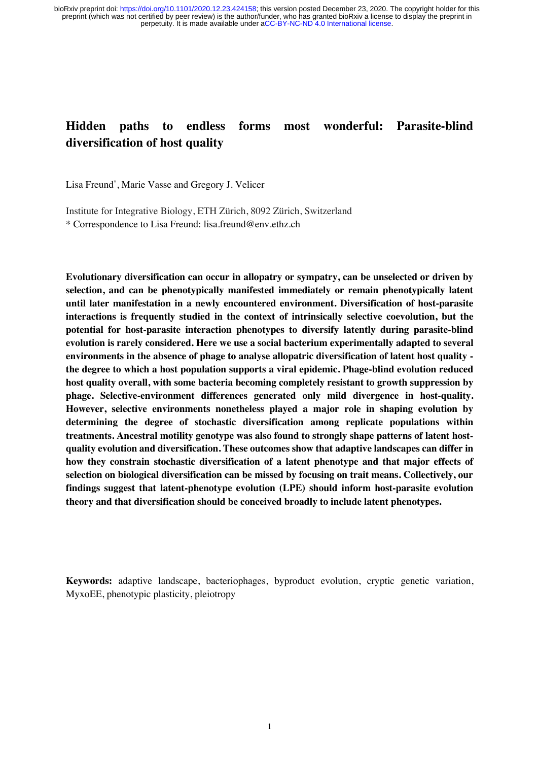### **Hidden paths to endless forms most wonderful: Parasite-blind diversification of host quality**

Lisa Freund\* , Marie Vasse and Gregory J. Velicer

Institute for Integrative Biology, ETH Zürich, 8092 Zürich, Switzerland \* Correspondence to Lisa Freund: lisa.freund@env.ethz.ch

**Evolutionary diversification can occur in allopatry or sympatry, can be unselected or driven by selection, and can be phenotypically manifested immediately or remain phenotypically latent until later manifestation in a newly encountered environment. Diversification of host-parasite interactions is frequently studied in the context of intrinsically selective coevolution, but the potential for host-parasite interaction phenotypes to diversify latently during parasite-blind evolution is rarely considered. Here we use a social bacterium experimentally adapted to several environments in the absence of phage to analyse allopatric diversification of latent host quality the degree to which a host population supports a viral epidemic. Phage-blind evolution reduced host quality overall, with some bacteria becoming completely resistant to growth suppression by phage. Selective-environment differences generated only mild divergence in host-quality. However, selective environments nonetheless played a major role in shaping evolution by determining the degree of stochastic diversification among replicate populations within treatments. Ancestral motility genotype was also found to strongly shape patterns of latent hostquality evolution and diversification. These outcomes show that adaptive landscapes can differ in how they constrain stochastic diversification of a latent phenotype and that major effects of selection on biological diversification can be missed by focusing on trait means. Collectively, our findings suggest that latent-phenotype evolution (LPE) should inform host-parasite evolution theory and that diversification should be conceived broadly to include latent phenotypes.**

**Keywords:** adaptive landscape, bacteriophages, byproduct evolution, cryptic genetic variation, MyxoEE, phenotypic plasticity, pleiotropy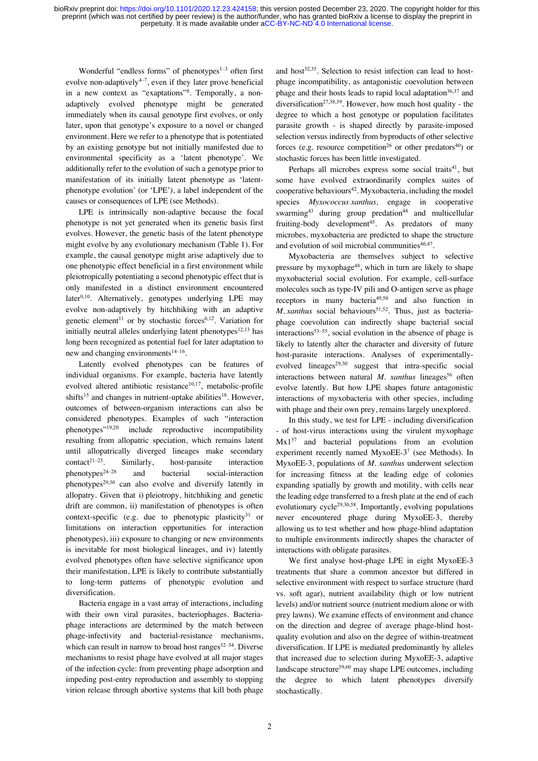Wonderful "endless forms" of phenotypes $1-3$  often first evolve non-adaptively $4\frac{1}{2}$ , even if they later prove beneficial in a new context as "exaptations"<sup>8</sup> . Temporally, a nonadaptively evolved phenotype might be generated immediately when its causal genotype first evolves, or only later, upon that genotype's exposure to a novel or changed environment. Here we refer to a phenotype that is potentiated by an existing genotype but not initially manifested due to environmental specificity as a 'latent phenotype'. We additionally refer to the evolution of such a genotype prior to manifestation of its initially latent phenotype as 'latentphenotype evolution' (or 'LPE'), a label independent of the causes or consequences of LPE (see Methods).

LPE is intrinsically non-adaptive because the focal phenotype is not yet generated when its genetic basis first evolves. However, the genetic basis of the latent phenotype might evolve by any evolutionary mechanism (Table 1). For example, the causal genotype might arise adaptively due to one phenotypic effect beneficial in a first environment while pleiotropically potentiating a second phenotypic effect that is only manifested in a distinct environment encountered later<sup>9,10</sup>. Alternatively, genotypes underlying LPE may evolve non-adaptively by hitchhiking with an adaptive genetic element<sup>11</sup> or by stochastic forces<sup>6,12</sup>. Variation for initially neutral alleles underlying latent phenotypes<sup>12,13</sup> has long been recognized as potential fuel for later adaptation to new and changing environments<sup>14–16</sup>.

Latently evolved phenotypes can be features of individual organisms. For example, bacteria have latently evolved altered antibiotic resistance<sup>10,17</sup>, metabolic-profile shifts<sup>15</sup> and changes in nutrient-uptake abilities<sup>18</sup>. However, outcomes of between-organism interactions can also be considered phenotypes. Examples of such "interaction phenotypes"19,20 include reproductive incompatibility resulting from allopatric speciation, which remains latent until allopatrically diverged lineages make secondary  $contact^{21-23}$ . Similarly, host-parasite interaction phenotypes24–28 and bacterial social-interaction phenotypes29,30 can also evolve and diversify latently in allopatry. Given that i) pleiotropy, hitchhiking and genetic drift are common, ii) manifestation of phenotypes is often context-specific (e.g. due to phenotypic plasticity $31$  or limitations on interaction opportunities for interaction phenotypes), iii) exposure to changing or new environments is inevitable for most biological lineages, and iv) latently evolved phenotypes often have selective significance upon their manifestation, LPE is likely to contribute substantially to long-term patterns of phenotypic evolution and diversification.

Bacteria engage in a vast array of interactions, including with their own viral parasites, bacteriophages. Bacteriaphage interactions are determined by the match between phage-infectivity and bacterial-resistance mechanisms, which can result in narrow to broad host ranges $32-34$ . Diverse mechanisms to resist phage have evolved at all major stages of the infection cycle: from preventing phage adsorption and impeding post-entry reproduction and assembly to stopping virion release through abortive systems that kill both phage and host $32,35$ . Selection to resist infection can lead to hostphage incompatibility, as antagonistic coevolution between phage and their hosts leads to rapid local adaptation<sup>36,37</sup> and diversification<sup>27,38,39</sup>. However, how much host quality - the degree to which a host genotype or population facilitates parasite growth - is shaped directly by parasite-imposed selection versus indirectly from byproducts of other selective forces (e.g. resource competition<sup>26</sup> or other predators<sup>40</sup>) or stochastic forces has been little investigated.

Perhaps all microbes express some social traits<sup>41</sup>, but some have evolved extraordinarily complex suites of cooperative behaviours<sup>42</sup>. Myxobacteria, including the model species *Myxococcus xanthus,* engage in cooperative swarming<sup>43</sup> during group predation<sup>44</sup> and multicellular fruiting-body development<sup>45</sup>. As predators of many microbes, myxobacteria are predicted to shape the structure and evolution of soil microbial communities<sup>46,47</sup>.

Myxobacteria are themselves subject to selective pressure by myxophage<sup>48</sup>, which in turn are likely to shape myxobacterial social evolution. For example, cell-surface molecules such as type-IV pili and O-antigen serve as phage receptors in many bacteria49,50 and also function in *M. xanthus* social behaviours<sup>51,52</sup>. Thus, just as bacteriaphage coevolution can indirectly shape bacterial social interactions $53-55$ , social evolution in the absence of phage is likely to latently alter the character and diversity of future host-parasite interactions. Analyses of experimentallyevolved lineages<sup>29,30</sup> suggest that intra-specific social interactions between natural *M. xanthus* lineages<sup>56</sup> often evolve latently. But how LPE shapes future antagonistic interactions of myxobacteria with other species, including with phage and their own prey, remains largely unexplored.

In this study, we test for LPE - including diversification - of host-virus interactions using the virulent myxophage Mx1<sup>57</sup> and bacterial populations from an evolution experiment recently named MyxoEE-3<sup>7</sup> (see Methods). In MyxoEE-3, populations of *M. xanthus* underwent selection for increasing fitness at the leading edge of colonies expanding spatially by growth and motility, with cells near the leading edge transferred to a fresh plate at the end of each evolutionary cycle<sup>29,30,58</sup>. Importantly, evolving populations never encountered phage during MyxoEE-3, thereby allowing us to test whether and how phage-blind adaptation to multiple environments indirectly shapes the character of interactions with obligate parasites.

We first analyse host-phage LPE in eight MyxoEE-3 treatments that share a common ancestor but differed in selective environment with respect to surface structure (hard vs. soft agar), nutrient availability (high or low nutrient levels) and/or nutrient source (nutrient medium alone or with prey lawns). We examine effects of environment and chance on the direction and degree of average phage-blind hostquality evolution and also on the degree of within-treatment diversification. If LPE is mediated predominantly by alleles that increased due to selection during MyxoEE-3, adaptive landscape structure<sup>59,60</sup> may shape LPE outcomes, including the degree to which latent phenotypes diversify stochastically.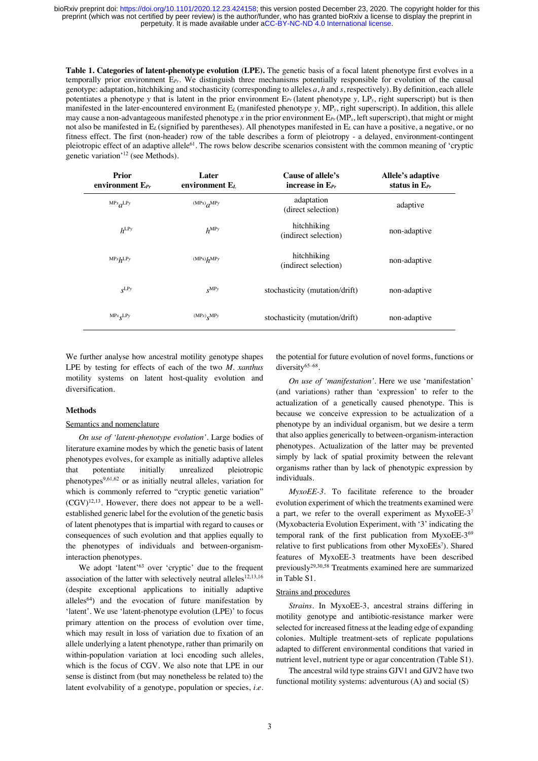**Table 1. Categories of latent-phenotype evolution (LPE).** The genetic basis of a focal latent phenotype first evolves in a temporally prior environment E*Pr*. We distinguish three mechanisms potentially responsible for evolution of the causal genotype: adaptation, hitchhiking and stochasticity (corresponding to alleles *a*, *h* and *s*, respectively). By definition, each allele potentiates a phenotype *y* that is latent in the prior environment E*Pr* (latent phenotype *y,* LP*y*, right superscript) but is then manifested in the later-encountered environment E*L* (manifested phenotype *y,* MP*y*, right superscript). In addition, this allele may cause a non-advantageous manifested phenotype x in the prior environment  $E_{Pr}(MP_x)$ , left superscript), that might or might not also be manifested in E*L* (signified by parentheses). All phenotypes manifested in E*<sup>L</sup>* can have a positive, a negative, or no fitness effect. The first (non-header) row of the table describes a form of pleiotropy - a delayed, environment-contingent pleiotropic effect of an adaptive allele<sup>61</sup>. The rows below describe scenarios consistent with the common meaning of 'cryptic genetic variation'<sup>12</sup> (see Methods).

| <b>Prior</b><br>environment $E_{Pr}$ | Later<br>environment $E_L$                       | Cause of allele's<br>increase in $E_{Pr}$ | Allele's adaptive<br>status in $E_{Pr}$ |
|--------------------------------------|--------------------------------------------------|-------------------------------------------|-----------------------------------------|
| $MPx$ <sub><i>G</i></sub> LPy        | $(MPx)$ <sub><i><math>\alpha</math>MPy</i></sub> | adaptation<br>(direct selection)          | adaptive                                |
| $h^{\text{LPy}}$                     | $h^{\text{MPy}}$                                 | hitchhiking<br>(indirect selection)       | non-adaptive                            |
| MPxLPy                               | $(MPx)$ <sub>p</sub> MPy                         | hitchhiking<br>(indirect selection)       | non-adaptive                            |
| $S^{LPy}$                            | $\mathbf{x}^{\text{MP}y}$                        | stochasticity (mutation/drift)            | non-adaptive                            |
| $MPx_{\mathbf{C}}LPy$                | $(MPx)$ <sub>S</sub> MPy                         | stochasticity (mutation/drift)            | non-adaptive                            |

We further analyse how ancestral motility genotype shapes LPE by testing for effects of each of the two *M. xanthus*  motility systems on latent host-quality evolution and diversification.

#### **Methods**

#### Semantics and nomenclature

*On use of 'latent-phenotype evolution'.* Large bodies of literature examine modes by which the genetic basis of latent phenotypes evolves, for example as initially adaptive alleles that potentiate initially unrealized pleiotropic phenotypes $9,61,62$  or as initially neutral alleles, variation for which is commonly referred to "cryptic genetic variation"  $(CGV)^{12,13}$ . However, there does not appear to be a wellestablished generic label for the evolution of the genetic basis of latent phenotypes that is impartial with regard to causes or consequences of such evolution and that applies equally to the phenotypes of individuals and between-organisminteraction phenotypes.

We adopt 'latent'<sup>63</sup> over 'cryptic' due to the frequent association of the latter with selectively neutral alleles<sup>12,13,16</sup> (despite exceptional applications to initially adaptive alleles<sup>64</sup>) and the evocation of future manifestation by 'latent'. We use 'latent-phenotype evolution (LPE)' to focus primary attention on the process of evolution over time, which may result in loss of variation due to fixation of an allele underlying a latent phenotype, rather than primarily on within-population variation at loci encoding such alleles, which is the focus of CGV. We also note that LPE in our sense is distinct from (but may nonetheless be related to) the latent evolvability of a genotype, population or species, *i.e.*

the potential for future evolution of novel forms, functions or diversity<sup>65-68</sup>.

*On use of 'manifestation'.* Here we use 'manifestation' (and variations) rather than 'expression' to refer to the actualization of a genetically caused phenotype. This is because we conceive expression to be actualization of a phenotype by an individual organism, but we desire a term that also applies generically to between-organism-interaction phenotypes. Actualization of the latter may be prevented simply by lack of spatial proximity between the relevant organisms rather than by lack of phenotypic expression by individuals.

*MyxoEE-3.* To facilitate reference to the broader evolution experiment of which the treatments examined were a part, we refer to the overall experiment as MyxoEE-37 (Myxobacteria Evolution Experiment, with '3' indicating the temporal rank of the first publication from MyxoEE-3<sup>69</sup> relative to first publications from other MyxoEEs<sup>7</sup>). Shared features of MyxoEE-3 treatments have been described previously29,30,58 Treatments examined here are summarized in Table S1.

#### Strains and procedures

*Strains.* In MyxoEE-3, ancestral strains differing in motility genotype and antibiotic-resistance marker were selected for increased fitness at the leading edge of expanding colonies. Multiple treatment-sets of replicate populations adapted to different environmental conditions that varied in nutrient level, nutrient type or agar concentration (Table S1).

The ancestral wild type strains GJV1 and GJV2 have two functional motility systems: adventurous (A) and social (S)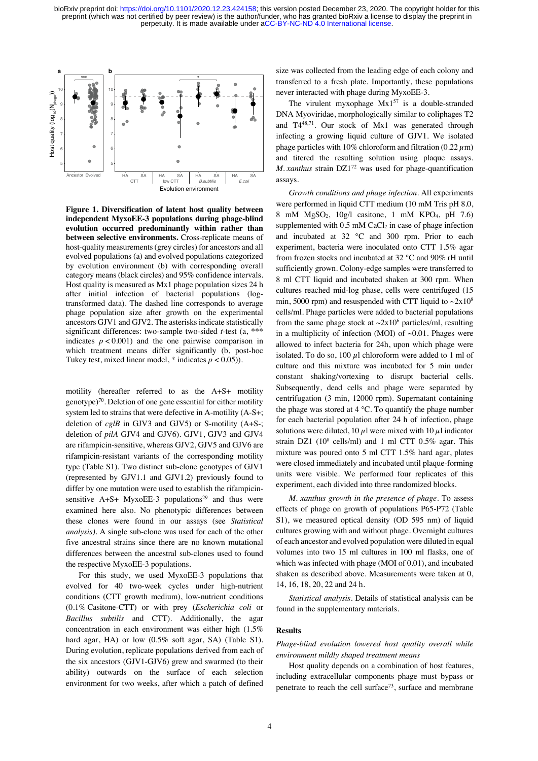

**Figure 1. Diversification of latent host quality between independent MyxoEE-3 populations during phage-blind evolution occurred predominantly within rather than between selective environments.** Cross-replicate means of host-quality measurements (grey circles) for ancestors and all evolved populations (a) and evolved populations categorized by evolution environment (b) with corresponding overall category means (black circles) and 95% confidence intervals. Host quality is measured as Mx1 phage population sizes 24 h after initial infection of bacterial populations (logtransformed data). The dashed line corresponds to average phage population size after growth on the experimental ancestors GJV1 and GJV2. The asterisks indicate statistically significant differences: two-sample two-sided *t*-test (a, \*\*\* indicates  $p < 0.001$ ) and the one pairwise comparison in which treatment means differ significantly (b, post-hoc Tukey test, mixed linear model,  $*$  indicates  $p < 0.05$ )).

motility (hereafter referred to as the A+S+ motility genotype)<sup>70</sup>. Deletion of one gene essential for either motility system led to strains that were defective in A-motility (A-S+; deletion of *cglB* in GJV3 and GJV5) or S-motility (A+S-; deletion of *pilA* GJV4 and GJV6). GJV1, GJV3 and GJV4 are rifampicin-sensitive, whereas GJV2, GJV5 and GJV6 are rifampicin-resistant variants of the corresponding motility type (Table S1). Two distinct sub-clone genotypes of GJV1 (represented by GJV1.1 and GJV1.2) previously found to differ by one mutation were used to establish the rifampicinsensitive  $A+S+ MyxoEE-3$  populations<sup>29</sup> and thus were examined here also. No phenotypic differences between these clones were found in our assays (see *Statistical analysis).* A single sub-clone was used for each of the other five ancestral strains since there are no known mutational differences between the ancestral sub-clones used to found the respective MyxoEE-3 populations.

For this study, we used MyxoEE-3 populations that evolved for 40 two-week cycles under high-nutrient conditions (CTT growth medium), low-nutrient conditions (0.1% Casitone-CTT) or with prey (*Escherichia coli* or *Bacillus subtilis* and CTT). Additionally, the agar concentration in each environment was either high (1.5% hard agar, HA) or low  $(0.5\% \text{ soft agar}, \text{SA})$  (Table S1). During evolution, replicate populations derived from each of the six ancestors (GJV1-GJV6) grew and swarmed (to their ability) outwards on the surface of each selection environment for two weeks, after which a patch of defined size was collected from the leading edge of each colony and transferred to a fresh plate. Importantly, these populations never interacted with phage during MyxoEE-3.

The virulent myxophage  $Mx1^{57}$  is a double-stranded DNA Myoviridae, morphologically similar to coliphages T2 and T448,71. Our stock of Mx1 was generated through infecting a growing liquid culture of GJV1. We isolated phage particles with 10% chloroform and filtration  $(0.22 \mu m)$ and titered the resulting solution using plaque assays. *M. xanthus* strain DZ1<sup>72</sup> was used for phage-quantification assays.

*Growth conditions and phage infection.* All experiments were performed in liquid CTT medium (10 mM Tris pH 8.0, 8 mM MgSO2, 10g/l casitone, 1 mM KPO4, pH 7.6) supplemented with  $0.5$  mM CaCl<sub>2</sub> in case of phage infection and incubated at 32 °C and 300 rpm. Prior to each experiment, bacteria were inoculated onto CTT 1.5% agar from frozen stocks and incubated at 32 °C and 90% rH until sufficiently grown. Colony-edge samples were transferred to 8 ml CTT liquid and incubated shaken at 300 rpm. When cultures reached mid-log phase, cells were centrifuged (15 min, 5000 rpm) and resuspended with CTT liquid to  $\sim 2x10^8$ cells/ml. Phage particles were added to bacterial populations from the same phage stock at  $\sim 2x10^6$  particles/ml, resulting in a multiplicity of infection (MOI) of  $\sim 0.01$ . Phages were allowed to infect bacteria for 24h, upon which phage were isolated. To do so,  $100 \mu l$  chloroform were added to 1 ml of culture and this mixture was incubated for 5 min under constant shaking/vortexing to disrupt bacterial cells. Subsequently, dead cells and phage were separated by centrifugation (3 min, 12000 rpm). Supernatant containing the phage was stored at 4 °C. To quantify the phage number for each bacterial population after 24 h of infection, phage solutions were diluted, 10  $\mu$ l were mixed with 10  $\mu$ l indicator strain DZ1 ( $10^8$  cells/ml) and 1 ml CTT 0.5% agar. This mixture was poured onto 5 ml CTT 1.5% hard agar, plates were closed immediately and incubated until plaque-forming units were visible. We performed four replicates of this experiment, each divided into three randomized blocks.

*M. xanthus growth in the presence of phage.* To assess effects of phage on growth of populations P65-P72 (Table S1), we measured optical density (OD 595 nm) of liquid cultures growing with and without phage. Overnight cultures of each ancestor and evolved population were diluted in equal volumes into two 15 ml cultures in 100 ml flasks, one of which was infected with phage (MOI of 0.01), and incubated shaken as described above. Measurements were taken at 0, 14, 16, 18, 20, 22 and 24 h.

*Statistical analysis.* Details of statistical analysis can be found in the supplementary materials.

#### **Results**

*Phage-blind evolution lowered host quality overall while environment mildly shaped treatment means*

Host quality depends on a combination of host features, including extracellular components phage must bypass or penetrate to reach the cell surface<sup>73</sup>, surface and membrane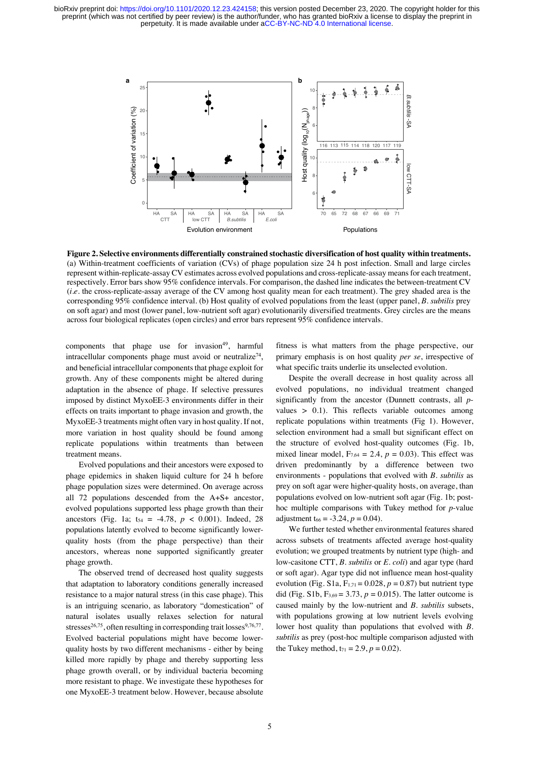

**Figure 2. Selective environments differentially constrained stochastic diversification of host quality within treatments.**  (a) Within-treatment coefficients of variation (CVs) of phage population size 24 h post infection. Small and large circles represent within-replicate-assay CV estimates across evolved populations and cross-replicate-assay means for each treatment, respectively. Error bars show 95% confidence intervals. For comparison, the dashed line indicates the between-treatment CV (*i.e.* the cross-replicate-assay average of the CV among host quality mean for each treatment). The grey shaded area is the corresponding 95% confidence interval. (b) Host quality of evolved populations from the least (upper panel, *B. subtilis* prey on soft agar) and most (lower panel, low-nutrient soft agar) evolutionarily diversified treatments. Grey circles are the means across four biological replicates (open circles) and error bars represent 95% confidence intervals.

components that phage use for invasion<sup>49</sup>, harmful intracellular components phage must avoid or neutralize<sup>74</sup>, and beneficial intracellular components that phage exploit for growth. Any of these components might be altered during adaptation in the absence of phage. If selective pressures imposed by distinct MyxoEE-3 environments differ in their effects on traits important to phage invasion and growth, the MyxoEE-3 treatments might often vary in host quality. If not, more variation in host quality should be found among replicate populations within treatments than between treatment means.

Evolved populations and their ancestors were exposed to phage epidemics in shaken liquid culture for 24 h before phage population sizes were determined. On average across all 72 populations descended from the A+S+ ancestor, evolved populations supported less phage growth than their ancestors (Fig. 1a;  $t_{54} = -4.78$ ,  $p < 0.001$ ). Indeed, 28 populations latently evolved to become significantly lowerquality hosts (from the phage perspective) than their ancestors, whereas none supported significantly greater phage growth.

The observed trend of decreased host quality suggests that adaptation to laboratory conditions generally increased resistance to a major natural stress (in this case phage). This is an intriguing scenario, as laboratory "domestication" of natural isolates usually relaxes selection for natural stresses<sup>26,75</sup>, often resulting in corresponding trait losses<sup>9,76,77</sup>. Evolved bacterial populations might have become lowerquality hosts by two different mechanisms - either by being killed more rapidly by phage and thereby supporting less phage growth overall, or by individual bacteria becoming more resistant to phage. We investigate these hypotheses for one MyxoEE-3 treatment below. However, because absolute fitness is what matters from the phage perspective, our primary emphasis is on host quality *per se*, irrespective of what specific traits underlie its unselected evolution.

Despite the overall decrease in host quality across all evolved populations, no individual treatment changed significantly from the ancestor (Dunnett contrasts, all *p*values  $> 0.1$ ). This reflects variable outcomes among replicate populations within treatments (Fig 1). However, selection environment had a small but significant effect on the structure of evolved host-quality outcomes (Fig. 1b, mixed linear model,  $F_{7,64} = 2.4$ ,  $p = 0.03$ ). This effect was driven predominantly by a difference between two environments - populations that evolved with *B. subtilis* as prey on soft agar were higher-quality hosts, on average, than populations evolved on low-nutrient soft agar (Fig. 1b; posthoc multiple comparisons with Tukey method for *p*-value adjustment t<sub>66</sub> =  $-3.24$ ,  $p = 0.04$ ).

We further tested whether environmental features shared across subsets of treatments affected average host-quality evolution; we grouped treatments by nutrient type (high- and low-casitone CTT, *B. subtilis* or *E. coli*) and agar type (hard or soft agar). Agar type did not influence mean host-quality evolution (Fig. S1a,  $F_{1,71} = 0.028$ ,  $p = 0.87$ ) but nutrient type did (Fig. S1b,  $F_{3,69} = 3.73$ ,  $p = 0.015$ ). The latter outcome is caused mainly by the low-nutrient and *B. subtilis* subsets, with populations growing at low nutrient levels evolving lower host quality than populations that evolved with *B. subtilis* as prey (post-hoc multiple comparison adjusted with the Tukey method,  $t_{71} = 2.9, p = 0.02$ .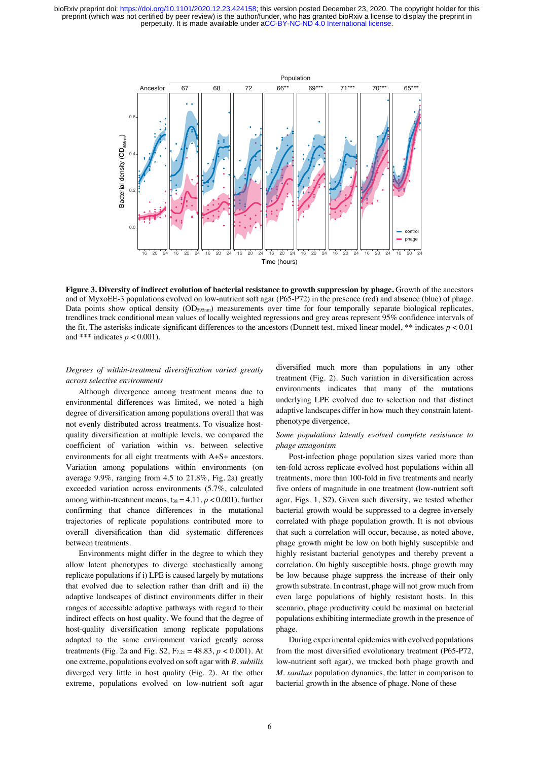

**Figure 3. Diversity of indirect evolution of bacterial resistance to growth suppression by phage.** Growth of the ancestors and of MyxoEE-3 populations evolved on low-nutrient soft agar (P65-P72) in the presence (red) and absence (blue) of phage. Data points show optical density (OD<sub>595nm</sub>) measurements over time for four temporally separate biological replicates, trendlines track conditional mean values of locally weighted regressions and grey areas represent 95% confidence intervals of the fit. The asterisks indicate significant differences to the ancestors (Dunnett test, mixed linear model, \*\* indicates  $p < 0.01$ ) and \*\*\* indicates  $p < 0.001$ ).

#### *Degrees of within-treatment diversification varied greatly across selective environments*

Although divergence among treatment means due to environmental differences was limited, we noted a high degree of diversification among populations overall that was not evenly distributed across treatments. To visualize hostquality diversification at multiple levels, we compared the coefficient of variation within vs. between selective environments for all eight treatments with A+S+ ancestors. Variation among populations within environments (on average 9.9%, ranging from 4.5 to 21.8%, Fig. 2a) greatly exceeded variation across environments (5.7%, calculated among within-treatment means,  $t_{38} = 4.11$ ,  $p < 0.001$ ), further confirming that chance differences in the mutational trajectories of replicate populations contributed more to overall diversification than did systematic differences between treatments.

Environments might differ in the degree to which they allow latent phenotypes to diverge stochastically among replicate populations if i) LPE is caused largely by mutations that evolved due to selection rather than drift and ii) the adaptive landscapes of distinct environments differ in their ranges of accessible adaptive pathways with regard to their indirect effects on host quality. We found that the degree of host-quality diversification among replicate populations adapted to the same environment varied greatly across treatments (Fig. 2a and Fig. S2,  $F_{7,21} = 48.83$ ,  $p < 0.001$ ). At one extreme, populations evolved on soft agar with *B. subtilis* diverged very little in host quality (Fig. 2). At the other extreme, populations evolved on low-nutrient soft agar

diversified much more than populations in any other treatment (Fig. 2). Such variation in diversification across environments indicates that many of the mutations underlying LPE evolved due to selection and that distinct adaptive landscapes differ in how much they constrain latentphenotype divergence.

#### *Some populations latently evolved complete resistance to phage antagonism*

Post-infection phage population sizes varied more than ten-fold across replicate evolved host populations within all treatments, more than 100-fold in five treatments and nearly five orders of magnitude in one treatment (low-nutrient soft agar, Figs. 1, S2). Given such diversity, we tested whether bacterial growth would be suppressed to a degree inversely correlated with phage population growth. It is not obvious that such a correlation will occur, because, as noted above, phage growth might be low on both highly susceptible and highly resistant bacterial genotypes and thereby prevent a correlation. On highly susceptible hosts, phage growth may be low because phage suppress the increase of their only growth substrate. In contrast, phage will not grow much from even large populations of highly resistant hosts. In this scenario, phage productivity could be maximal on bacterial populations exhibiting intermediate growth in the presence of phage.

During experimental epidemics with evolved populations from the most diversified evolutionary treatment (P65-P72, low-nutrient soft agar), we tracked both phage growth and *M. xanthus* population dynamics, the latter in comparison to bacterial growth in the absence of phage. None of these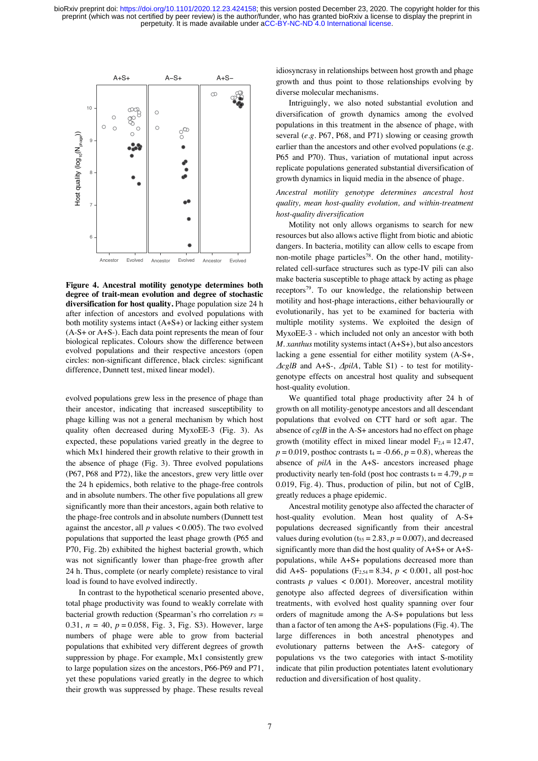

**Figure 4. Ancestral motility genotype determines both degree of trait-mean evolution and degree of stochastic diversification for host quality.** Phage population size 24 h after infection of ancestors and evolved populations with both motility systems intact  $(A+S+)$  or lacking either system (A-S+ or A+S-). Each data point represents the mean of four biological replicates. Colours show the difference between evolved populations and their respective ancestors (open circles: non-significant difference, black circles: significant difference, Dunnett test, mixed linear model).

evolved populations grew less in the presence of phage than their ancestor, indicating that increased susceptibility to phage killing was not a general mechanism by which host quality often decreased during MyxoEE-3 (Fig. 3). As expected, these populations varied greatly in the degree to which Mx1 hindered their growth relative to their growth in the absence of phage (Fig. 3). Three evolved populations (P67, P68 and P72), like the ancestors, grew very little over the 24 h epidemics, both relative to the phage-free controls and in absolute numbers. The other five populations all grew significantly more than their ancestors, again both relative to the phage-free controls and in absolute numbers (Dunnett test against the ancestor, all  $p$  values  $< 0.005$ ). The two evolved populations that supported the least phage growth (P65 and P70, Fig. 2b) exhibited the highest bacterial growth, which was not significantly lower than phage-free growth after 24 h. Thus, complete (or nearly complete) resistance to viral load is found to have evolved indirectly.

In contrast to the hypothetical scenario presented above, total phage productivity was found to weakly correlate with bacterial growth reduction (Spearman's rho correlation  $r_s$  = 0.31, *n* = 40, *p* = 0.058, Fig. 3, Fig. S3). However, large numbers of phage were able to grow from bacterial populations that exhibited very different degrees of growth suppression by phage. For example, Mx1 consistently grew to large population sizes on the ancestors, P66-P69 and P71, yet these populations varied greatly in the degree to which their growth was suppressed by phage. These results reveal

idiosyncrasy in relationships between host growth and phage growth and thus point to those relationships evolving by diverse molecular mechanisms.

Intriguingly, we also noted substantial evolution and diversification of growth dynamics among the evolved populations in this treatment in the absence of phage, with several (*e.g.* P67, P68, and P71) slowing or ceasing growth earlier than the ancestors and other evolved populations (e.g. P65 and P70). Thus, variation of mutational input across replicate populations generated substantial diversification of growth dynamics in liquid media in the absence of phage.

#### *Ancestral motility genotype determines ancestral host quality, mean host-quality evolution, and within-treatment host-quality diversification*

Motility not only allows organisms to search for new resources but also allows active flight from biotic and abiotic dangers. In bacteria, motility can allow cells to escape from non-motile phage particles<sup>78</sup>. On the other hand, motilityrelated cell-surface structures such as type-IV pili can also make bacteria susceptible to phage attack by acting as phage receptors<sup>79</sup>. To our knowledge, the relationship between motility and host-phage interactions, either behaviourally or evolutionarily, has yet to be examined for bacteria with multiple motility systems. We exploited the design of MyxoEE-3 - which included not only an ancestor with both *M. xanthus* motility systems intact (A+S+), but also ancestors lacking a gene essential for either motility system (A-S+, *ΔcglB* and A+S-, *ΔpilA*, Table S1) - to test for motilitygenotype effects on ancestral host quality and subsequent host-quality evolution.

We quantified total phage productivity after 24 h of growth on all motility-genotype ancestors and all descendant populations that evolved on CTT hard or soft agar. The absence of *cglB* in the A-S+ ancestors had no effect on phage growth (motility effect in mixed linear model  $F_{2,4} = 12.47$ ,  $p = 0.019$ , posthoc contrasts  $t_4 = -0.66$ ,  $p = 0.8$ ), whereas the absence of *pilA* in the A+S- ancestors increased phage productivity nearly ten-fold (post hoc contrasts  $t_4 = 4.79$ ,  $p =$ 0.019, Fig. 4). Thus, production of pilin, but not of CglB, greatly reduces a phage epidemic.

Ancestral motility genotype also affected the character of host-quality evolution. Mean host quality of A-S+ populations decreased significantly from their ancestral values during evolution ( $t_{55} = 2.83$ ,  $p = 0.007$ ), and decreased significantly more than did the host quality of  $A+S+$  or  $A+S$ populations, while A+S+ populations decreased more than did A+S- populations  $(F_{2,54} = 8.34, p < 0.001,$  all post-hoc contrasts  $p$  values  $< 0.001$ ). Moreover, ancestral motility genotype also affected degrees of diversification within treatments, with evolved host quality spanning over four orders of magnitude among the A-S+ populations but less than a factor of ten among the A+S- populations (Fig. 4). The large differences in both ancestral phenotypes and evolutionary patterns between the A+S- category of populations vs the two categories with intact S-motility indicate that pilin production potentiates latent evolutionary reduction and diversification of host quality.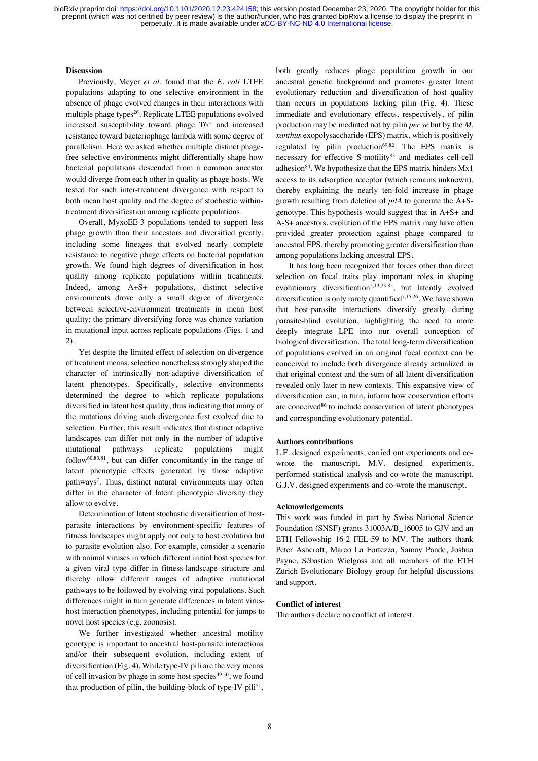#### **Discussion**

Previously, Meyer *et al.* found that the *E. coli* LTEE populations adapting to one selective environment in the absence of phage evolved changes in their interactions with multiple phage types<sup>26</sup>. Replicate LTEE populations evolved increased susceptibility toward phage T6\* and increased resistance toward bacteriophage lambda with some degree of parallelism. Here we asked whether multiple distinct phagefree selective environments might differentially shape how bacterial populations descended from a common ancestor would diverge from each other in quality as phage hosts. We tested for such inter-treatment divergence with respect to both mean host quality and the degree of stochastic withintreatment diversification among replicate populations.

Overall, MyxoEE-3 populations tended to support less phage growth than their ancestors and diversified greatly, including some lineages that evolved nearly complete resistance to negative phage effects on bacterial population growth. We found high degrees of diversification in host quality among replicate populations within treatments. Indeed, among A+S+ populations, distinct selective environments drove only a small degree of divergence between selective-environment treatments in mean host quality; the primary diversifying force was chance variation in mutational input across replicate populations (Figs. 1 and 2).

Yet despite the limited effect of selection on divergence of treatment means, selection nonetheless strongly shaped the character of intrinsically non-adaptive diversification of latent phenotypes. Specifically, selective environments determined the degree to which replicate populations diversified in latent host quality, thus indicating that many of the mutations driving such divergence first evolved due to selection. Further, this result indicates that distinct adaptive landscapes can differ not only in the number of adaptive mutational pathways replicate populations might follow60,80,81, but can differ concomitantly in the range of latent phenotypic effects generated by those adaptive pathways<sup>7</sup>. Thus, distinct natural environments may often differ in the character of latent phenotypic diversity they allow to evolve.

Determination of latent stochastic diversification of hostparasite interactions by environment-specific features of fitness landscapes might apply not only to host evolution but to parasite evolution also. For example, consider a scenario with animal viruses in which different initial host species for a given viral type differ in fitness-landscape structure and thereby allow different ranges of adaptive mutational pathways to be followed by evolving viral populations. Such differences might in turn generate differences in latent virushost interaction phenotypes, including potential for jumps to novel host species (e.g. zoonosis).

We further investigated whether ancestral motility genotype is important to ancestral host-parasite interactions and/or their subsequent evolution, including extent of diversification (Fig. 4). While type-IV pili are the very means of cell invasion by phage in some host species $49,50$ , we found that production of pilin, the building-block of type-IV pili<sup>51</sup>, both greatly reduces phage population growth in our ancestral genetic background and promotes greater latent evolutionary reduction and diversification of host quality than occurs in populations lacking pilin (Fig. 4). These immediate and evolutionary effects, respectively, of pilin production may be mediated not by pilin *per se* but by the *M. xanthus* exopolysaccharide (EPS) matrix, which is positively regulated by pilin production $69,82$ . The EPS matrix is necessary for effective S-motility<sup>83</sup> and mediates cell-cell adhesion $84$ . We hypothesize that the EPS matrix hinders Mx1 access to its adsorption receptor (which remains unknown), thereby explaining the nearly ten-fold increase in phage growth resulting from deletion of *pilA* to generate the A+Sgenotype*.* This hypothesis would suggest that in A+S+ and A-S+ ancestors, evolution of the EPS matrix may have often provided greater protection against phage compared to ancestral EPS, thereby promoting greater diversification than among populations lacking ancestral EPS.

It has long been recognized that forces other than direct selection on focal traits play important roles in shaping evolutionary diversification<sup>5,13,23,85</sup>, but latently evolved diversification is only rarely quantified<sup>7,15,26</sup>. We have shown that host-parasite interactions diversify greatly during parasite-blind evolution, highlighting the need to more deeply integrate LPE into our overall conception of biological diversification. The total long-term diversification of populations evolved in an original focal context can be conceived to include both divergence already actualized in that original context and the sum of all latent diversification revealed only later in new contexts. This expansive view of diversification can, in turn, inform how conservation efforts are conceived<sup>86</sup> to include conservation of latent phenotypes and corresponding evolutionary potential.

#### **Authors contributions**

L.F. designed experiments, carried out experiments and cowrote the manuscript. M.V. designed experiments, performed statistical analysis and co-wrote the manuscript. G.J.V. designed experiments and co-wrote the manuscript.

#### **Acknowledgements**

This work was funded in part by Swiss National Science Foundation (SNSF) grants 31003A/B\_16005 to GJV and an ETH Fellowship 16-2 FEL-59 to MV. The authors thank Peter Ashcroft, Marco La Fortezza, Samay Pande, Joshua Payne, Sébastien Wielgoss and all members of the ETH Zürich Evolutionary Biology group for helpful discussions and support.

#### **Conflict of interest**

The authors declare no conflict of interest.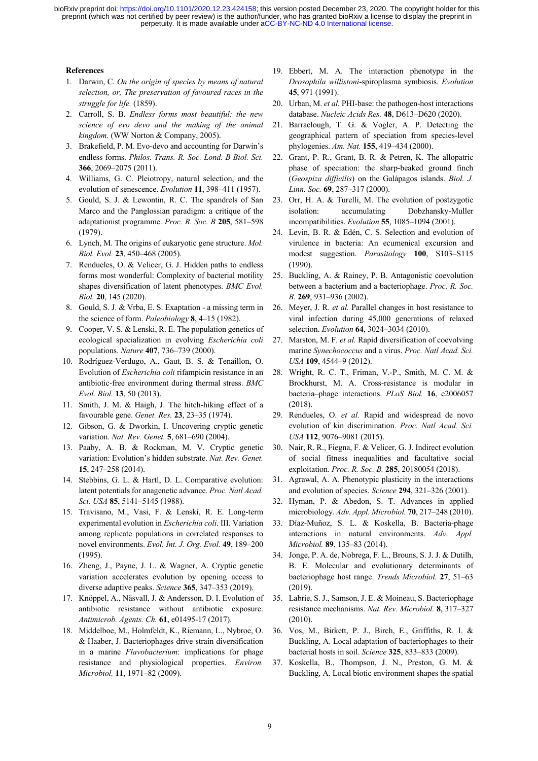#### **References**

- 1. Darwin, C. *On the origin of species by means of natural selection, or, The preservation of favoured races in the struggle for life.* (1859).
- 2. Carroll, S. B. *Endless forms most beautiful: the new science of evo devo and the making of the animal kingdom*. (WW Norton & Company, 2005).
- 3. Brakefield, P. M. Evo-devo and accounting for Darwin's endless forms. *Philos. Trans. R. Soc. Lond. B Biol. Sci.* **366**, 2069–2075 (2011).
- 4. Williams, G. C. Pleiotropy, natural selection, and the evolution of senescence. *Evolution* **11**, 398–411 (1957).
- 5. Gould, S. J. & Lewontin, R. C. The spandrels of San Marco and the Panglossian paradigm: a critique of the adaptationist programme. *Proc. R. Soc. B* **205**, 581–598 (1979).
- 6. Lynch, M. The origins of eukaryotic gene structure. *Mol. Biol. Evol.* **23**, 450–468 (2005).
- 7. Rendueles, O. & Velicer, G. J. Hidden paths to endless forms most wonderful: Complexity of bacterial motility shapes diversification of latent phenotypes. *BMC Evol. Biol.* **20**, 145 (2020).
- 8. Gould, S. J. & Vrba, E. S. Exaptation a missing term in the science of form. *Paleobiology* **8**, 4–15 (1982).
- 9. Cooper, V. S. & Lenski, R. E. The population genetics of ecological specialization in evolving *Escherichia coli* populations. *Nature* **407**, 736–739 (2000).
- 10. Rodríguez-Verdugo, A., Gaut, B. S. & Tenaillon, O. Evolution of *Escherichia coli* rifampicin resistance in an antibiotic-free environment during thermal stress. *BMC Evol. Biol.* **13**, 50 (2013).
- 11. Smith, J. M. & Haigh, J. The hitch-hiking effect of a favourable gene. *Genet. Res.* **23**, 23–35 (1974).
- 12. Gibson, G. & Dworkin, I. Uncovering cryptic genetic variation. *Nat. Rev. Genet.* **5**, 681–690 (2004).
- 13. Paaby, A. B. & Rockman, M. V. Cryptic genetic variation: Evolution's hidden substrate. *Nat. Rev. Genet.* **15**, 247–258 (2014).
- 14. Stebbins, G. L. & Hartl, D. L. Comparative evolution: latent potentials for anagenetic advance. *Proc. Natl Acad. Sci. USA* **85**, 5141–5145 (1988).
- 15. Travisano, M., Vasi, F. & Lenski, R. E. Long-term experimental evolution in *Escherichia coli*. III. Variation among replicate populations in correlated responses to novel environments. *Evol. Int. J. Org. Evol.* **49**, 189–200 (1995).
- 16. Zheng, J., Payne, J. L. & Wagner, A. Cryptic genetic variation accelerates evolution by opening access to diverse adaptive peaks. *Science* **365**, 347–353 (2019).
- 17. Knöppel, A., Näsvall, J. & Andersson, D. I. Evolution of antibiotic resistance without antibiotic exposure. *Antimicrob. Agents. Ch.* **61**, e01495-17 (2017).
- 18. Middelboe, M., Holmfeldt, K., Riemann, L., Nybroe, O. & Haaber, J. Bacteriophages drive strain diversification in a marine *Flavobacterium*: implications for phage resistance and physiological properties. *Environ. Microbiol.* **11**, 1971–82 (2009).
- 19. Ebbert, M. A. The interaction phenotype in the *Drosophila willistoni*-spiroplasma symbiosis. *Evolution* **45**, 971 (1991).
- 20. Urban, M. *et al.* PHI-base: the pathogen-host interactions database. *Nucleic Acids Res.* **48**, D613–D620 (2020).
- 21. Barraclough, T. G. & Vogler, A. P. Detecting the geographical pattern of speciation from species‐level phylogenies. *Am. Nat.* **155**, 419–434 (2000).
- 22. Grant, P. R., Grant, B. R. & Petren, K. The allopatric phase of speciation: the sharp-beaked ground finch (*Geospiza difficilis*) on the Galápagos islands. *Biol. J. Linn. Soc.* **69**, 287–317 (2000).
- 23. Orr, H. A. & Turelli, M. The evolution of postzygotic isolation: accumulating Dobzhansky-Muller incompatibilities. *Evolution* **55**, 1085–1094 (2001).
- 24. Levin, B. R. & Edén, C. S. Selection and evolution of virulence in bacteria: An ecumenical excursion and modest suggestion. *Parasitology* **100**, S103–S115 (1990).
- 25. Buckling, A. & Rainey, P. B. Antagonistic coevolution between a bacterium and a bacteriophage. *Proc. R. Soc. B.* **269**, 931–936 (2002).
- 26. Meyer, J. R. *et al.* Parallel changes in host resistance to viral infection during 45,000 generations of relaxed selection. *Evolution* **64**, 3024–3034 (2010).
- 27. Marston, M. F. *et al.* Rapid diversification of coevolving marine *Synechococcus* and a virus. *Proc. Natl Acad. Sci. USA* **109**, 4544–9 (2012).
- 28. Wright, R. C. T., Friman, V.-P., Smith, M. C. M. & Brockhurst, M. A. Cross-resistance is modular in bacteria–phage interactions. *PLoS Biol.* **16**, e2006057 (2018).
- 29. Rendueles, O. *et al.* Rapid and widespread de novo evolution of kin discrimination. *Proc. Natl Acad. Sci. USA* **112**, 9076–9081 (2015).
- 30. Nair, R. R., Fiegna, F. & Velicer, G. J. Indirect evolution of social fitness inequalities and facultative social exploitation. *Proc. R. Soc. B.* **285**, 20180054 (2018).
- 31. Agrawal, A. A. Phenotypic plasticity in the interactions and evolution of species. *Science* **294**, 321–326 (2001).
- 32. Hyman, P. & Abedon, S. T. Advances in applied microbiology. *Adv. Appl. Microbiol.* **70**, 217–248 (2010).
- 33. Díaz-Muñoz, S. L. & Koskella, B. Bacteria-phage interactions in natural environments. *Adv. Appl. Microbiol.* **89**, 135–83 (2014).
- 34. Jonge, P. A. de, Nobrega, F. L., Brouns, S. J. J. & Dutilh, B. E. Molecular and evolutionary determinants of bacteriophage host range. *Trends Microbiol.* **27**, 51–63 (2019).
- 35. Labrie, S. J., Samson, J. E. & Moineau, S. Bacteriophage resistance mechanisms. *Nat. Rev. Microbiol.* **8**, 317–327 (2010).
- 36. Vos, M., Birkett, P. J., Birch, E., Griffiths, R. I. & Buckling, A. Local adaptation of bacteriophages to their bacterial hosts in soil. *Science* **325**, 833–833 (2009).
- 37. Koskella, B., Thompson, J. N., Preston, G. M. & Buckling, A. Local biotic environment shapes the spatial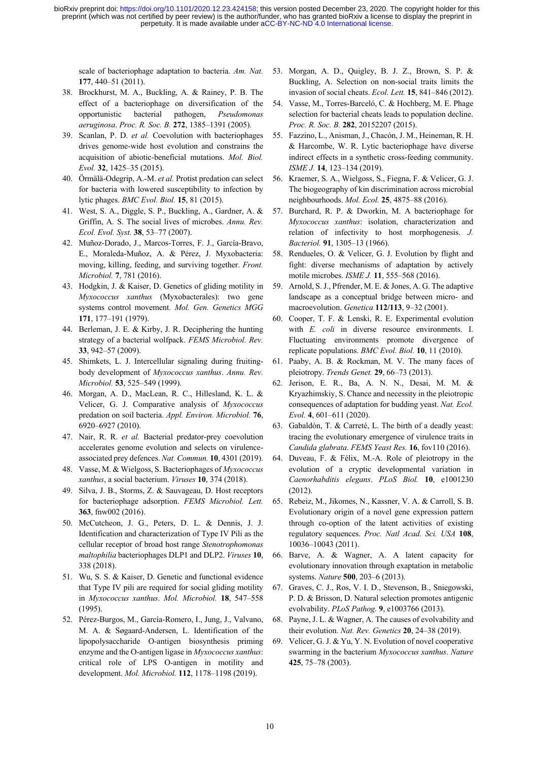scale of bacteriophage adaptation to bacteria. *Am. Nat.* **177**, 440–51 (2011).

- 38. Brockhurst, M. A., Buckling, A. & Rainey, P. B. The effect of a bacteriophage on diversification of the opportunistic bacterial pathogen, *Pseudomonas aeruginosa*. *Proc. R. Soc. B.* **272**, 1385–1391 (2005).
- 39. Scanlan, P. D. *et al.* Coevolution with bacteriophages drives genome-wide host evolution and constrains the acquisition of abiotic-beneficial mutations. *Mol. Biol. Evol.* **32**, 1425–35 (2015).
- 40. Örmälä-Odegrip, A.-M. *et al.* Protist predation can select for bacteria with lowered susceptibility to infection by lytic phages. *BMC Evol. Biol.* **15**, 81 (2015).
- 41. West, S. A., Diggle, S. P., Buckling, A., Gardner, A. & Griffin, A. S. The social lives of microbes. *Annu. Rev. Ecol. Evol. Syst.* **38**, 53–77 (2007).
- 42. Muñoz-Dorado, J., Marcos-Torres, F. J., García-Bravo, E., Moraleda-Muñoz, A. & Pérez, J. Myxobacteria: moving, killing, feeding, and surviving together. *Front. Microbiol.* **7**, 781 (2016).
- 43. Hodgkin, J. & Kaiser, D. Genetics of gliding motility in *Myxococcus xanthus* (Myxobacterales): two gene systems control movement. *Mol. Gen. Genetics MGG* **171**, 177–191 (1979).
- 44. Berleman, J. E. & Kirby, J. R. Deciphering the hunting strategy of a bacterial wolfpack. *FEMS Microbiol. Rev.* **33**, 942–57 (2009).
- 45. Shimkets, L. J. Intercellular signaling during fruitingbody development of *Myxococcus xanthus*. *Annu. Rev. Microbiol.* **53**, 525–549 (1999).
- 46. Morgan, A. D., MacLean, R. C., Hillesland, K. L. & Velicer, G. J. Comparative analysis of *Myxococcus* predation on soil bacteria. *Appl. Environ. Microbiol.* **76**, 6920–6927 (2010).
- 47. Nair, R. R. *et al.* Bacterial predator-prey coevolution accelerates genome evolution and selects on virulenceassociated prey defences. *Nat. Commun.* **10**, 4301 (2019).
- 48. Vasse, M. & Wielgoss, S. Bacteriophages of *Myxococcus xanthus*, a social bacterium. *Viruses* **10**, 374 (2018).
- 49. Silva, J. B., Storms, Z. & Sauvageau, D. Host receptors for bacteriophage adsorption. *FEMS Microbiol. Lett.* **363**, fnw002 (2016).
- 50. McCutcheon, J. G., Peters, D. L. & Dennis, J. J. Identification and characterization of Type IV Pili as the cellular receptor of broad host range *Stenotrophomonas maltophilia* bacteriophages DLP1 and DLP2. *Viruses* **10**, 338 (2018).
- 51. Wu, S. S. & Kaiser, D. Genetic and functional evidence that Type IV pili are required for social gliding motility in *Myxococcus xanthus*. *Mol. Microbiol.* **18**, 547–558 (1995).
- 52. Pérez-Burgos, M., García-Romero, I., Jung, J., Valvano, M. A. & Søgaard-Andersen, L. Identification of the lipopolysaccharide O-antigen biosynthesis priming enzyme and the O-antigen ligase in *Myxococcus xanthus*: critical role of LPS O-antigen in motility and development. *Mol. Microbiol.* **112**, 1178–1198 (2019).
- 53. Morgan, A. D., Quigley, B. J. Z., Brown, S. P. & Buckling, A. Selection on non-social traits limits the invasion of social cheats. *Ecol. Lett.* **15**, 841–846 (2012).
- 54. Vasse, M., Torres-Barceló, C. & Hochberg, M. E. Phage selection for bacterial cheats leads to population decline. *Proc. R. Soc. B.* **282**, 20152207 (2015).
- 55. Fazzino, L., Anisman, J., Chacón, J. M., Heineman, R. H. & Harcombe, W. R. Lytic bacteriophage have diverse indirect effects in a synthetic cross-feeding community. *ISME J.* **14**, 123–134 (2019).
- 56. Kraemer, S. A., Wielgoss, S., Fiegna, F. & Velicer, G. J. The biogeography of kin discrimination across microbial neighbourhoods. *Mol. Ecol.* **25**, 4875–88 (2016).
- 57. Burchard, R. P. & Dworkin, M. A bacteriophage for *Myxococcus xanthus*: isolation, characterization and relation of infectivity to host morphogenesis. *J. Bacteriol.* **91**, 1305–13 (1966).
- 58. Rendueles, O. & Velicer, G. J. Evolution by flight and fight: diverse mechanisms of adaptation by actively motile microbes. *ISME J.* **11**, 555–568 (2016).
- 59. Arnold, S. J., Pfrender, M. E. & Jones, A. G. The adaptive landscape as a conceptual bridge between micro- and macroevolution. *Genetica* **112/113**, 9–32 (2001).
- 60. Cooper, T. F. & Lenski, R. E. Experimental evolution with *E. coli* in diverse resource environments. I. Fluctuating environments promote divergence of replicate populations. *BMC Evol. Biol.* **10**, 11 (2010).
- 61. Paaby, A. B. & Rockman, M. V. The many faces of pleiotropy. *Trends Genet.* **29**, 66–73 (2013).
- 62. Jerison, E. R., Ba, A. N. N., Desai, M. M. & Kryazhimskiy, S. Chance and necessity in the pleiotropic consequences of adaptation for budding yeast. *Nat. Ecol. Evol.* **4**, 601–611 (2020).
- 63. Gabaldón, T. & Carreté, L. The birth of a deadly yeast: tracing the evolutionary emergence of virulence traits in *Candida glabrata*. *FEMS Yeast Res.* **16**, fov110 (2016).
- 64. Duveau, F. & Félix, M.-A. Role of pleiotropy in the evolution of a cryptic developmental variation in *Caenorhabditis elegans*. *PLoS Biol.* **10**, e1001230 (2012).
- 65. Rebeiz, M., Jikomes, N., Kassner, V. A. & Carroll, S. B. Evolutionary origin of a novel gene expression pattern through co-option of the latent activities of existing regulatory sequences. *Proc. Natl Acad. Sci. USA* **108**, 10036–10043 (2011).
- 66. Barve, A. & Wagner, A. A latent capacity for evolutionary innovation through exaptation in metabolic systems. *Nature* **500**, 203–6 (2013).
- 67. Graves, C. J., Ros, V. I. D., Stevenson, B., Sniegowski, P. D. & Brisson, D. Natural selection promotes antigenic evolvability. *PLoS Pathog.* **9**, e1003766 (2013).
- 68. Payne, J. L. & Wagner, A. The causes of evolvability and their evolution. *Nat. Rev. Genetics* **20**, 24–38 (2019).
- 69. Velicer, G. J. & Yu, Y. N. Evolution of novel cooperative swarming in the bacterium *Myxococcus xanthus*. *Nature* **425**, 75–78 (2003).